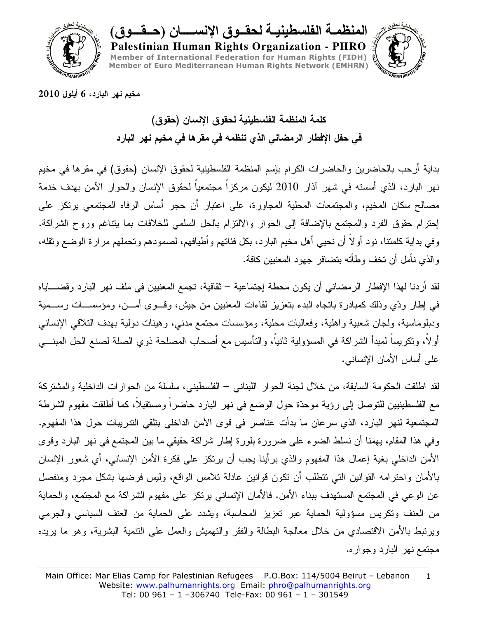

المنظمــة الفلسطينيــة لـحقــوق الإنســـــان (حــقـــوق)

Palestinian Human Rights Organization - PHRO Member of International Federation for Human Rights (FIDH) Member of Euro Mediterranean Human Rights Network (EMHRN)



مخيم نـهر البارد، 6 أيلول 2010

كلمة المنظمة الفلسطينية لحقوق الإنسان (حقوق) في حفل الإفطار الرمضاني الذي تنظمه في مقرها في مخيم نهر البارد

بداية أرحب بالحاضرين والحاضرات الكرام بإسم المنظمة الفلسطينية لحقوق الإنسان (حقوق) في مقرها في مخيم نهر البارد، الذي أسسته في شهر آذار 2010 ليكون مركزا مجتمعيا لحقوق الإنسان والحوار الآمن بهدف خدمة مصالح سكان المخيم، والمجتمعات المحلية المجاورة، على اعتبار أن حجر أساس الرفاه المجتمعي برتكز على إحترام حقوق الفرد والمجتمع بالإضافة إلىي الحوار والالتزام بالحل السلمي للخلافات بما يتناغم وروح الشراكة. وفي بداية كلمتنا، نود أولًا أن نحيي أهل مخيم البارد، بكل فئاتهم وأطيافهم، لصمودهم وتحملهم مرارة الوضع وثقله، والذي نأمل أن نخف وطأنه بتضافر جهود المعنيين كافة.

لقد أردنا لهذا الإفطار الرمضاني أن يكون محطة إجتماعية – ثقافية، تجمع المعنيين في ملف نهر البارد وقضــــاياه في إطار ودِّي وذلك كمبادرة بانجاه البدء بنعزيز لقاءات المعنيين من جيش، وقـــوى أمـــن، ومؤسســـات رســـمية ودبلوماسية، ولجان شعبية واهلية، وفعاليات محلية، ومؤسسات مجتمع مدنبي، وهيئات دولية بهدف التلاقي الإنسانبي أولا، ونكريسا لمبدأ الشراكة في المسؤولية ثانيا، والتأسيس مع أصحاب المصلحة ذوي الصلة لصنع الحل المبنـــي على أساس الأمان الإنساني.

لقد اطلقت الحكومة السابقة، من خلال لجنة الحوار اللبناني – الفلسطيني، سلسلة من الحوارات الداخلية والمشتركة مع الفلسطينيين للنوصل إلى رؤية موحدّة حول الوضع في نهر البارد حاضراً ومستقبلاً، كما أطلقت مفهوم الشرطة المجتمعية لنهر البارد، الذي سرعان ما بدأت عناصر في قوى الأمن الداخلي بتلقى التدريبات حول هذا المفهوم. وفي هذا المقام، يهمنا أن نسلط الضوء على ضرورة بلورة إطار شراكة حقيقي ما بين المجتمع في نهر البارد وقوى الأمن الداخلي بغية إعمال هذا المفهوم والذي برأينا يجب أن يرتكز على فكرة الأمن الإنساني، أي شعور الإنسان بالأمان واحترامه القوانين التبي نتطلب أن نكون قوانين عادلة نلامس الواقع، وليس فرضها بشكل مجرد ومنفصل عن الوعي في المجتمع المستهدف ببناء الأمن. فالأمان الإنساني يرتكز على مفهوم الشراكة مع المجتمع، والحماية من العنف ونكريس مسؤولية الحماية عبر نعزيز المحاسبة، ويشدد على الحماية من العنف السياسي والجرمي وبرنبط بالأمن الاقتصادي من خلال معالجة البطالة والفقر والتهميش والعمل على التنمية البشرية، وهو ما بريده مجتمع نهر البارد وجواره.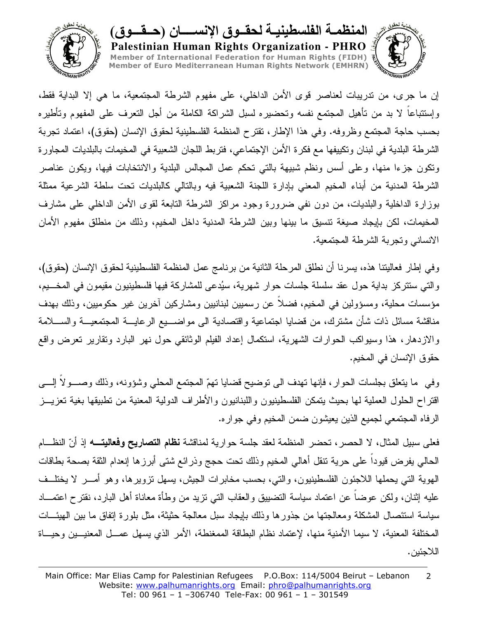

المنظمـــه الفلسطينيـــه لـحقـــوق الإنســــــان (حـــقـــوق) Palestinian Human Rights Organization - PHRO Member of International Federation for Human Rights (FIDH) Member of Euro Mediterranean Human Rights Network (EMHRN)



إن ما جرى، من ندريبات لعناصر قوى الأمن الداخلي، على مفهوم الشرطة المجتمعية، ما هي إلا البداية فقط، وإستتباعا لا بد من تأهيل المجتمع نفسه وتحضيره لسبل الشراكة الكاملة من أجل التعرف على المفهوم وتأطيره بحسب حاجة المجتمع وظروفه. وفي هذا الإطار، تقترح المنظمة الفلسطينية لحقوق الإنسان (حقوق)، اعتماد نجربة الشرطة البلدية في لبنان ونكييفها مع فكرة الأمن الإجتماعي، فتربط اللجان الشعبية في المخيمات بالبلديات المجاورة ونكون جزءا منها، وعلى أسس ونظم شبيهة بالتبي تحكم عمل المجالس البلدية والانتخابات فيها، ويكون عناصر الشرطة المدنية من أبناء المخيم المعنى بإدارة اللجنة الشعبية فيه وبالنالي كالبلديات نحت سلطة الشرعية ممثلة بوزارة الداخلية والبلديات، من دون نفي ضرورة وجود مراكز الشرطة النابعة لقوى الأمن الداخلي على مشارف المخيمات، لكن بإيجاد صيغة تتسيق ما بينها وبين الشرطة المدنية داخل المخيم، وذلك من منطلق مفهوم الأمان الانساني وتجربة الشرطة المجتمعية.

وفي إطار فعاليتنا هذه، يسرنا أن نطلق المرحلة الثانية من برنامج عمل المنظمة الفلسطينية لحقوق الإنسان (حقوق)، والتي ستتركز بداية حول عقد سلسلة جلسات حوار شهرية، سيُدعى للمشاركة فيها فلسطينيون مقيمون في المخـــيم، مؤسسات محلية، ومسؤولين في المخيم، فضلاً عن رسميين لبنانيين ومشاركين أخرين غير حكوميين، وذلك بهدف مناقشة مسائل ذات شأن مشترك، من قضايا اجتماعية واقتصادية الى مواضــــيع الرعايــــة المجتمعيـــة والســــلامة والازدهار، هذا وسيواكب الحوارات الشهرية، استكمال إعداد الفيلم الوثائقي حول نهر البارد ونقارير تعرض واقع حقوق الإنسان في المخيم.

وفي ً ما يتعلَّق بجلسات الحوار ، فإنها نهدف الى نوضيح قضايا نهمَّ المجتمع المحلَّى وشؤونه، وذلك وصـــولا إلـــي افتراح الحلول العملية لها بحيث بتمكن الفلسطينيون واللبنانيون والأطراف الدولية المعنية من نطبيقها بغية تعزيــز الرفاه المجتمعي لجميع الذين يعيشون ضمن المخيم وفي جواره.

فعلى سبيل المثال، لا الحصر، تحضر المنظمة لعقد جلسة حوارية لمناقشة **نظام التصاريح وفعاليتــــه** إذ أنّ النظـــام الحالي يفرض قيودا على حرية نتقل أهالي المخيم وذلك نحت حجج وذرائع شتى أبرزها إنعدام الثقة بصحة بطاقات الهوية التي يحملها اللاجئون الفلسطينيون، والتي، بحسب مخابرات الجيش، بسهل نزويرها، وهو أمـــر لا يختلــف عليه إثنان، ولكن عوضا عن اعتماد سياسة النضبيبق والعقاب النبي نزيد من وطأة معاناة أهل البارد، نقترح اعتمـــاد سياسة استئصال المشكلة ومعالجتها من جذورها وذلك بايجاد سبل معالجة حثيثة، مثل بلورة إتفاق ما بين الهيئـــات المختلفة المعنية، لا سيما الأمنية منها، لإعتماد نظام البطاقة الممغنطة، الأمر الذي يسهل عمـــل المعنيـــين وحيـــاة اللاحئين.